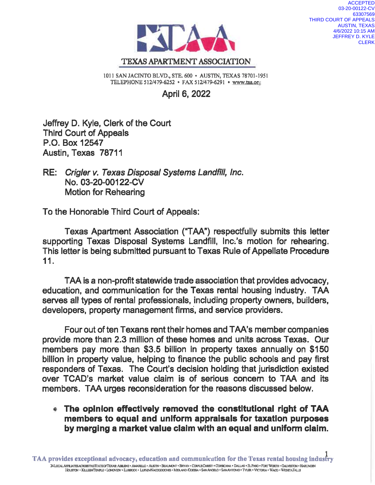

**ACCEPTED** 03-20-00122-CV 63307569 THIRD COURT OF APPEALS **AUSTIN, TEXAS** 4/6/2022 10:15 AM **JEFFREY D. KYLE CLERK** 

1011 SAN JACINTO BLVD., STE. 600 · AUSTIN, TEXAS 78701-1951 TELEPHONE 512/479-6252 · FAX 512/479-6291 · www.taa.org

**April 6, 2022** 

Jeffrey D. Kyle, Clerk of the Court **Third Court of Appeals** P.O. Box 12547 Austin, Texas 78711

RE: Crigler v. Texas Disposal Systems Landfill, Inc. No. 03-20-00122-CV **Motion for Rehearing** 

To the Honorable Third Court of Appeals:

Texas Apartment Association ("TAA") respectfully submits this letter supporting Texas Disposal Systems Landfill, Inc.'s motion for rehearing. This letter is being submitted pursuant to Texas Rule of Appellate Procedure  $11.$ 

TAA is a non-profit statewide trade association that provides advocacy, education, and communication for the Texas rental housing industry. TAA serves all types of rental professionals, including property owners, builders, developers, property management firms, and service providers.

Four out of ten Texans rent their homes and TAA's member companies provide more than 2.3 million of these homes and units across Texas. Our members pay more than \$3.5 billion in property taxes annually on \$150 billion in property value, helping to finance the public schools and pay first responders of Texas. The Court's decision holding that jurisdiction existed over TCAD's market value claim is of serious concern to TAA and its members. TAA urges reconsideration for the reasons discussed below.

## • The opinion effectively removed the constitutional right of TAA members to equal and uniform appraisals for taxation purposes by merging a market value claim with an equal and uniform claim.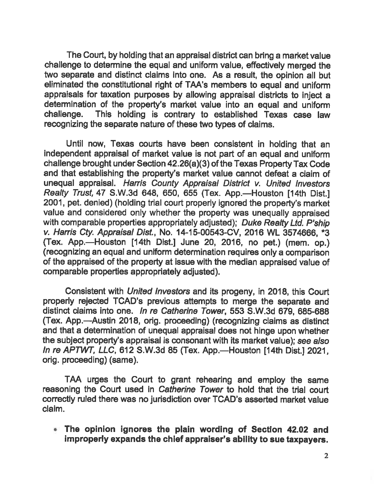The Court, by holding that an appraisal district can bring a market value challenge to determine the equal and uniform value, effectively merged the two separate and distinct claims into one. As a result, the opinion all but eliminated the constitutional right of TAA's members to equal and uniform appraisals for taxation purposes by allowing appraisal districts to inject a determination of the property's market value into an equal and uniform This holding is contrary to established Texas case law challenge. recognizing the separate nature of these two types of claims.

Until now, Texas courts have been consistent in holding that an independent appraisal of market value is not part of an equal and uniform challenge brought under Section 42.26(a)(3) of the Texas Property Tax Code and that establishing the property's market value cannot defeat a claim of unequal appraisal. Harris County Appraisal District v. United Investors Realty Trust, 47 S.W.3d 648, 650, 655 (Tex. App.-Houston [14th Dist.] 2001, pet. denied) (holding trial court properly ignored the property's market value and considered only whether the property was unequally appraised with comparable properties appropriately adjusted); Duke Realty Ltd. P'ship v. Harris Cty. Appraisal Dist., No. 14-15-00543-CV, 2016 WL 3574666. \*3 (Tex. App.—Houston [14th Dist.] June 20, 2016, no pet.) (mem. op.) (recognizing an equal and uniform determination requires only a comparison of the appraised of the property at issue with the median appraised value of comparable properties appropriately adjusted).

Consistent with *United Investors* and its progeny, in 2018, this Court properly rejected TCAD's previous attempts to merge the separate and distinct claims into one. In re Catherine Tower, 553 S.W.3d 679, 685-688 (Tex. App.—Austin 2018, orig. proceeding) (recognizing claims as distinct and that a determination of unequal appraisal does not hinge upon whether the subject property's appraisal is consonant with its market value); see also In re APTWT, LLC, 612 S.W.3d 85 (Tex. App.-Houston [14th Dist.] 2021, orig. proceeding) (same).

TAA urges the Court to grant rehearing and employ the same reasoning the Court used in Catherine Tower to hold that the trial court correctly ruled there was no jurisdiction over TCAD's asserted market value claim.

The opinion ignores the plain wording of Section 42.02 and improperly expands the chief appraiser's ability to sue taxpayers.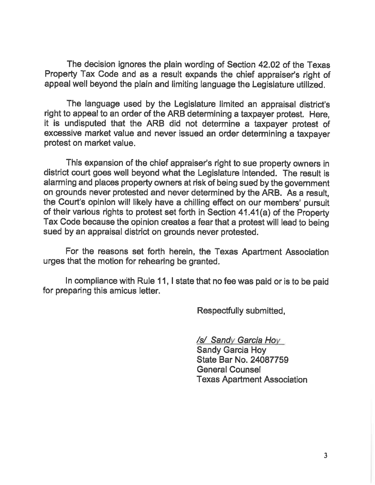The decision ignores the plain wording of Section 42.02 of the Texas Property Tax Code and as a result expands the chief appraiser's right of appeal well beyond the plain and limiting language the Legislature utilized.

The language used by the Legislature limited an appraisal district's right to appeal to an order of the ARB determining a taxpayer protest. Here, it is undisputed that the ARB did not determine a taxpayer protest of excessive market value and never issued an order determining a taxpayer protest on market value.

This expansion of the chief appraiser's right to sue property owners in district court goes well beyond what the Legislature intended. The result is alarming and places property owners at risk of being sued by the government on grounds never protested and never determined by the ARB. As a result. the Court's opinion will likely have a chilling effect on our members' pursuit of their various rights to protest set forth in Section 41.41(a) of the Property Tax Code because the opinion creates a fear that a protest will lead to being sued by an appraisal district on grounds never protested.

For the reasons set forth herein, the Texas Apartment Association urges that the motion for rehearing be granted.

In compliance with Rule 11, I state that no fee was paid or is to be paid for preparing this amicus letter.

Respectfully submitted,

/s/ Sandy Garcia Hoy

**Sandy Garcia Hoy** State Bar No. 24087759 **General Counsel Texas Apartment Association**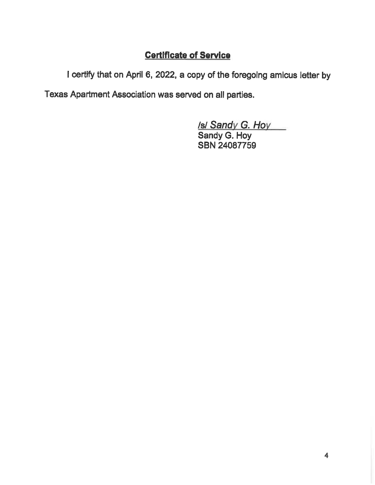## **Certificate of Service**

I certify that on April 6, 2022, a copy of the foregoing amicus letter by

Texas Apartment Association was served on all parties.

Isl Sandy G. Hoy

Sandy G. Hoy SBN 24087759